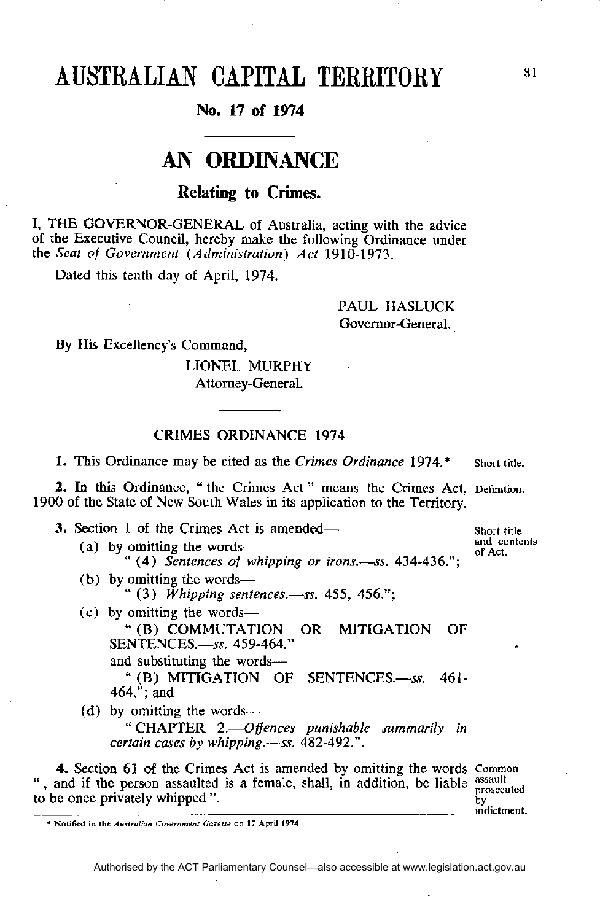# AUSTRALIAN CAPITAL TERRITORY

### **No. 17 of 1974**

## **AN ORDINANCE**

### **Relating to Crimes.**

I, THE GOVERNOR-GENERAL of Australia, acting with the advice of the Executive Council, hereby make the following Ordinance under the *Seat of Government (Administration) Act* 1910-1973.

Dated this tenth day of April, 1974.

PAUL HASLUCK Governor-General.

By His Excellency's Command,

LIONEL MURPHY Attorney-General.

#### CRIMES ORDINANCE 1974

**1.** This Ordinance may be cited as the *Crimes Ordinance* 1974.\* Short title.

2. In this Ordinance, "the Crimes Act" means the Crimes Act, Definition. 1900 of the State of New South Wales in its application to the Territory.

**3.** Section 1 of the Crimes Act is amended— (a) by omitting the words of Act. " (4) *Sentences of whipping or irons.—ss.* 434-436."; (b) by omitting the words— " (3) *Whipping sentences.—ss.* 455, 456."; (c) by omitting the words— "(B) COMMUTATION OR MITIGATION OF SENTENCES.—*ss.* 459-464." and substituting the words— " (B) MITIGATION OF SENTENCES.—*ss.* 461- 464."; and (d) by omitting the words— " CHAPTER 2.—*Offences punishable summarily in certain cases by whipping.—ss.* 482-492.".

**4.** Section 61 of the Crimes Act is amended by omitting the words ", and if the person assaulted is a female, shall, in addition, be liable assault to be once privately whipped ". h٧

Authorised by the ACT Parliamentary Counsel—also accessible at www.legislation.act.gov.au

Short title and contents

81

prosecuted indictment.

**<sup>•</sup> Notified in the** *Australian Government Gazette on* **17 April 1974.**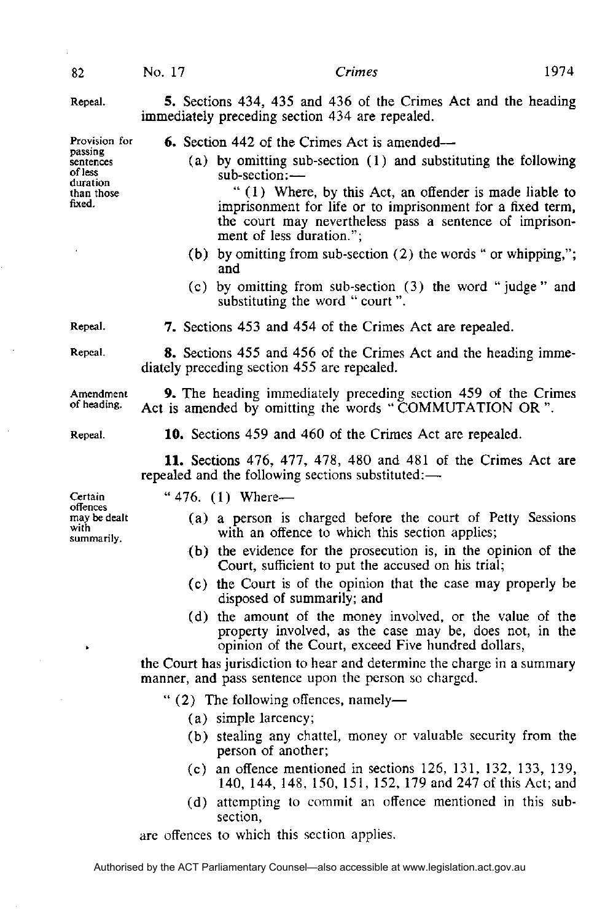1974

Repeal.

Provision for passing sentences of less duration than those fixed.

82

**5 .** Sections 434, 435 and 436 of the Crimes Act and the heading immediately preceding section 434 are repealed.

**6 .** Section 442 of the Crimes Act is amended—

(a) by omitting sub-section (1) and substituting the following sub-section:—

" (1) Where, by this Act, an offender is made liable to imprisonment for life or to imprisonment for a fixed term, the court may nevertheless pass a sentence of imprisonment of less duration.";

- (b) by omitting from sub-section (2) the words " or whipping,"; and
- (c) by omitting from sub-section (3) the word "judge " and substituting the word " court ".

Repeal.

Repeal.

**8 .** Sections 455 and 456 of the Crimes Act and the heading immediately preceding section 455 are repealed.

**9 .** The heading immediately preceding section 459 of the Crimes Act is amended by omitting the words " COMMUTATION OR ".

Repeal.

Amendment of heading.

**1 0 .** Sections 459 and 460 of the Crimes Act are repealed.

7. Sections 453 and 454 of the Crimes Act are repealed.

**1 1 .** Sections 476, 477, 478, 480 and 481 of the Crimes Act are repealed and the following sections substituted:—

" $476. (1)$  Where-

- (a) a person is charged before the court of Petty Sessions with an offence to which this section applies;
- (b) the evidence for the prosecution is, in the opinion of the Court, sufficient to put the accused on his trial;
- (c) the Court is of the opinion that the case may properly be disposed of summarily; and
- (d) the amount of the money involved, or the value of the property involved, as the case may be, does not, in the opinion of the Court, exceed Five hundred dollars,

the Court has jurisdiction to hear and determine the charge in a summary manner, and pass sentence upon the person so charged.

- " (2) The following offences, namely—
	- (a) simple larcency;
	- (b) stealing any chattel, money or valuable security from the person of another;
	- (c) an offence mentioned in sections 126, 131, 132, 133, 139, 140, 144, 148, 150, 151, 152, 179 and 247 of this Act; and
	- (d) attempting to commit an offence mentioned in this subsection,

are offences to which this section applies.

Authorised by the ACT Parliamentary Counsel—also accessible at www.legislation.act.gov.au

Certain offences may be dealt with summarily.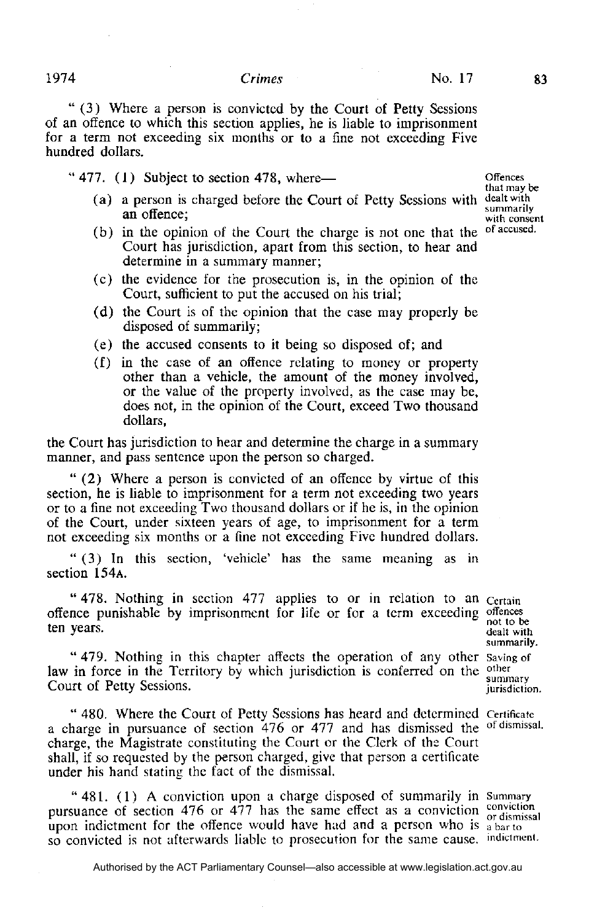#### $C$ rimes

" (3) Where a person is convicted by the Court of Petty Sessions of an offence to which this section applies, he is liable to imprisonment for a term not exceeding six months or to a fine not exceeding Five hundred dollars.

" $477.$  (1) Subject to section 478, where—

- (a) a person is charged before the Court of Petty Sessions with dealt with an offence;
- (b) in the opinion of the Court the charge is not one that the Court has jurisdiction, apart from this section, to hear and determine in a summary manner;
- (c) the evidence for the prosecution is, in the opinion of the Court, sufficient to put the accused on his trial:
- (d) the Court is of the opinion that the case may properly be disposed of summarily;
- (e) the accused consents to it being so disposed of; and
- (f) in the case of an offence relating to money or property other than a vehicle, the amount of the money involved, or the value of the property involved, as the case may be, does not, in the opinion of the Court, exceed Two thousand dollars,

the Court has jurisdiction to hear and determine the charge in a summary manner, and pass sentence upon the person so charged.

" (2) Where a person is convicted of an offence by virtue of this section, he is liable to imprisonment for a term not exceeding two years or to a fine not exceeding Two thousand dollars or if he is, in the opinion of the Court, under sixteen years of age, to imprisonment for a term not exceeding six months or a fine not exceeding Five hundred dollars.

" (3) In this section, 'vehicle' has the same meaning as in section 154**A.** 

" 478. Nothing in section 477 applies to or in relation to an Certain offence punishable by imprisonment for life or for a term exceeding not to be ten years. dealt with

" 479. Nothing in this chapter affects the operation of any other saving of law in force in the Territory by which jurisdiction is conferred on the other summary Court of Petty Sessions. jurisdiction.

" 480. Where the Court of Petty Sessions has heard and determined a charge in pursuance of section 476 or 477 and has dismissed the of dismissal. charge, the Magistrate constituting the Court or the Clerk of the Court shall, if so requested by the person charged, give that person a certificate under his hand stating the fact of the dismissal.

"481. (1) A conviction upon a charge disposed of summarily in Summary pursuance of section 476 or 477 has the same effect as a conviction conviction upon indictment for the offence would have had and a person who is  $a<sub>barto</sub>$ so convicted is not afterwards liable to prosecution for the same cause. indictment.

summarily.

Authorised by the ACT Parliamentary Counsel—also accessible at www.legislation.act.gov.au

**Offences** that may be summarily with consent of accused.